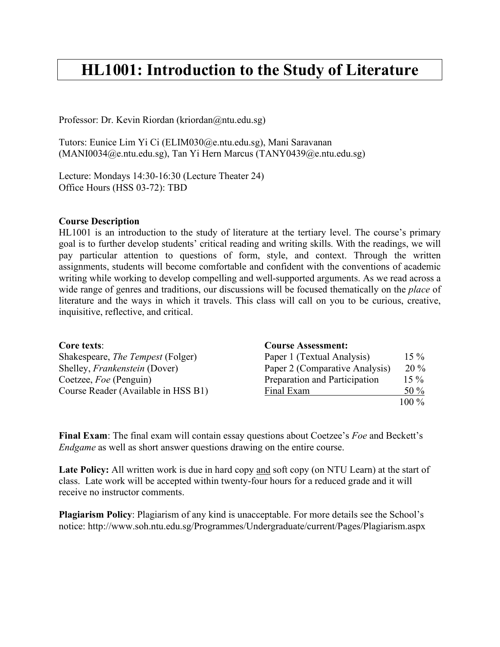# **HL1001: Introduction to the Study of Literature**

Professor: Dr. Kevin Riordan (kriordan@ntu.edu.sg)

Tutors: Eunice Lim Yi Ci (ELIM030@e.ntu.edu.sg), Mani Saravanan (MANI0034@e.ntu.edu.sg), Tan Yi Hern Marcus (TANY0439@e.ntu.edu.sg)

Lecture: Mondays 14:30-16:30 (Lecture Theater 24) Office Hours (HSS 03-72): TBD

#### **Course Description**

HL1001 is an introduction to the study of literature at the tertiary level. The course's primary goal is to further develop students' critical reading and writing skills. With the readings, we will pay particular attention to questions of form, style, and context. Through the written assignments, students will become comfortable and confident with the conventions of academic writing while working to develop compelling and well-supported arguments. As we read across a wide range of genres and traditions, our discussions will be focused thematically on the *place* of literature and the ways in which it travels. This class will call on you to be curious, creative, inquisitive, reflective, and critical.

| Core texts:                              | <b>Course Assessment:</b>      |         |
|------------------------------------------|--------------------------------|---------|
| Shakespeare, <i>The Tempest</i> (Folger) | Paper 1 (Textual Analysis)     | $15\%$  |
| Shelley, <i>Frankenstein</i> (Dover)     | Paper 2 (Comparative Analysis) | $20\%$  |
| Coetzee, Foe (Penguin)                   | Preparation and Participation  | $15\%$  |
| Course Reader (Available in HSS B1)      | Final Exam                     | 50 %    |
|                                          |                                | $100\%$ |

**Final Exam**: The final exam will contain essay questions about Coetzee's *Foe* and Beckett's *Endgame* as well as short answer questions drawing on the entire course.

Late Policy: All written work is due in hard copy and soft copy (on NTU Learn) at the start of class. Late work will be accepted within twenty-four hours for a reduced grade and it will receive no instructor comments.

**Plagiarism Policy**: Plagiarism of any kind is unacceptable. For more details see the School's notice: http://www.soh.ntu.edu.sg/Programmes/Undergraduate/current/Pages/Plagiarism.aspx